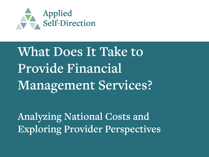

# **What Does It Take to Provide Financial Management Services?**

**Analyzing National Costs and Exploring Provider Perspectives**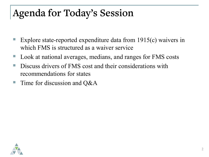## **Agenda for Today's Session**

- Explore state-reported expenditure data from 1915(c) waivers in which FMS is structured as a waiver service
- Look at national averages, medians, and ranges for FMS costs
- Discuss drivers of FMS cost and their considerations with recommendations for states
- Time for discussion and  $Q\&A$

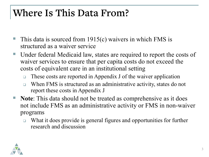#### **Where Is This Data From?**

- This data is sourced from 1915(c) waivers in which FMS is structured as a waiver service
- Under federal Medicaid law, states are required to report the costs of waiver services to ensure that per capita costs do not exceed the costs of equivalent care in an institutional setting
	- $\Box$  These costs are reported in Appendix J of the waiver application
	- □ When FMS is structured as an administrative activity, states do not report these costs in Appendix J
- **Note**: This data should not be treated as comprehensive as it does not include FMS as an administrative activity or FMS in non-waiver programs
	- $\Box$  What it does provide is general figures and opportunities for further research and discussion

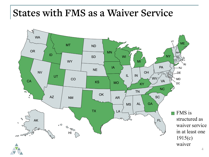#### **States with FMS as a Waiver Service**

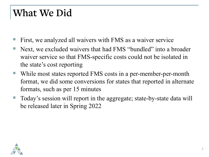#### **What We Did**

- First, we analyzed all waivers with FMS as a waiver service
- Next, we excluded waivers that had FMS "bundled" into a broader waiver service so that FMS-specific costs could not be isolated in the state's cost reporting
- While most states reported FMS costs in a per-member-per-month format, we did some conversions for states that reported in alternate formats, such as per 15 minutes
- Today's session will report in the aggregate; state-by-state data will be released later in Spring 2022

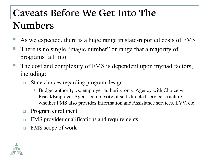### **Caveats Before We Get Into The Numbers**

- As we expected, there is a huge range in state-reported costs of FMS
- There is no single "magic number" or range that a majority of programs fall into
- The cost and complexity of FMS is dependent upon myriad factors, including:
	- □ State choices regarding program design
		- Budget authority vs. employer authority-only, Agency with Choice vs. Fiscal/Employer Agent, complexity of self-directed service structure, whether FMS also provides Information and Assistance services, EVV, etc.
	- **Program enrollment**
	- □ FMS provider qualifications and requirements
	- □ FMS scope of work

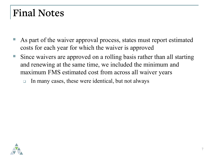#### **Final Notes**

- As part of the waiver approval process, states must report estimated costs for each year for which the waiver is approved
- Since waivers are approved on a rolling basis rather than all starting and renewing at the same time, we included the minimum and maximum FMS estimated cost from across all waiver years
	- $\Box$  In many cases, these were identical, but not always

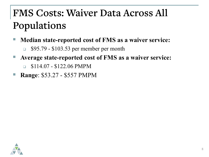## **FMS Costs: Waiver Data Across All Populations**

- **Median state-reported cost of FMS as a waiver service:**
	- **S95.79 \$103.53 per member per month**
- **Average state-reported cost of FMS as a waiver service:**
	- $\Box$  \$114.07 \$122.06 PMPM
- **Range**: \$53.27 \$557 PMPM

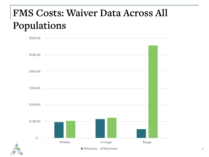#### **FMS Costs: Waiver Data Across All Populations**

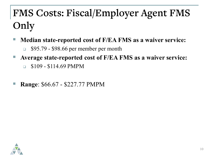# **FMS Costs: Fiscal/Employer Agent FMS Only**

- **Median state-reported cost of F/EA FMS as a waiver service:**
	- $\Box$  \$95.79 \$98.66 per member per month
- **Average state-reported cost of F/EA FMS as a waiver service:**
	- $\Box$  \$109 \$114.69 PMPM
- **Range**: \$66.67 \$227.77 PMPM

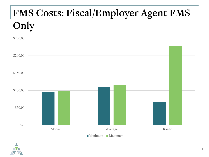# **FMS Costs: Fiscal/Employer Agent FMS Only**



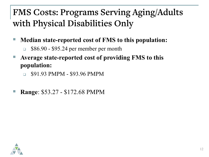#### **FMS Costs: Programs Serving Aging/Adults with Physical Disabilities Only**

- **Median state-reported cost of FMS to this population:**
	- $\Box$  \$86.90 \$95.24 per member per month
- **Average state-reported cost of providing FMS to this population:** 
	- $\Box$  \$91.93 PMPM \$93.96 PMPM
- **Range**: \$53.27 \$172.68 PMPM

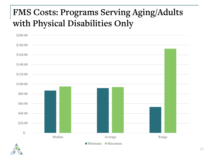#### **FMS Costs: Programs Serving Aging/Adults with Physical Disabilities Only**



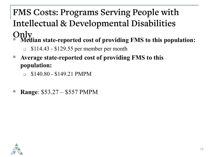### **FMS Costs: Programs Serving People with Intellectual & Developmental Disabilities**

- **Only Median state-reported cost of providing FMS to this population:**
	- $\Box$  \$114.43 \$129.55 per member per month
- **Average state-reported cost of providing FMS to this population:**
	- $\Box$  \$140.80 \$149.21 PMPM
- **Range**: \$53.27 \$557 PMPM

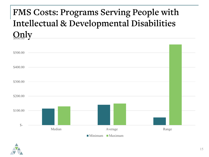#### **FMS Costs: Programs Serving People with Intellectual & Developmental Disabilities**   $\Omega$

| \$400.00                                         |  |
|--------------------------------------------------|--|
| \$300.00                                         |  |
| \$200.00                                         |  |
| \$100.00                                         |  |
| $\mathcal{S}$ -<br>Median<br>Average<br>Range    |  |
| $\blacksquare$ Minimum<br>$\blacksquare$ Maximum |  |